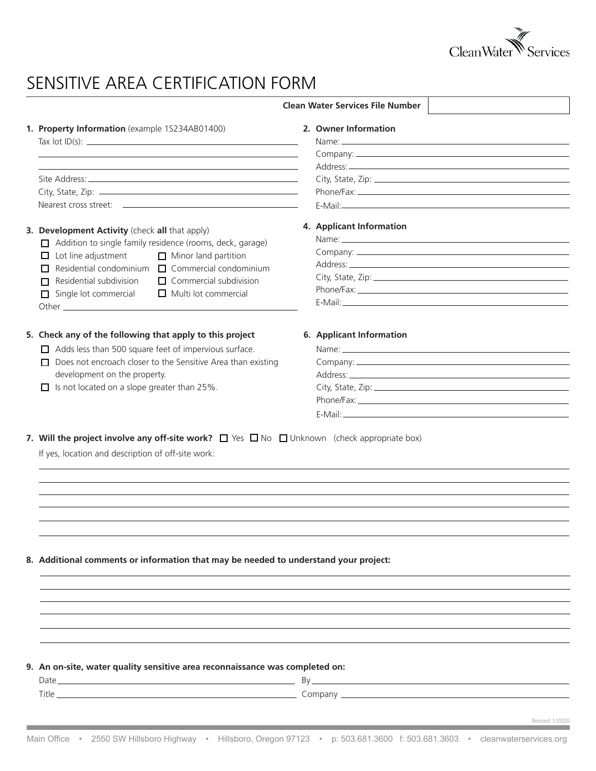

## SENSITIVE AREA CERTIFICATION FORM

|                                                                                                                                                                                                                                                                                                                                                                                                                                                                                                                                                   | <b>Clean Water Services File Number</b>                                                                                                                                                                                                                   |
|---------------------------------------------------------------------------------------------------------------------------------------------------------------------------------------------------------------------------------------------------------------------------------------------------------------------------------------------------------------------------------------------------------------------------------------------------------------------------------------------------------------------------------------------------|-----------------------------------------------------------------------------------------------------------------------------------------------------------------------------------------------------------------------------------------------------------|
| 1. Property Information (example 1S234AB01400)<br>$\frac{1}{2} \int \frac{1}{2} \int \frac{1}{2} \int \frac{1}{2} \int \frac{1}{2} \int \frac{1}{2} \int \frac{1}{2} \int \frac{1}{2} \int \frac{1}{2} \int \frac{1}{2} \int \frac{1}{2} \int \frac{1}{2} \int \frac{1}{2} \int \frac{1}{2} \int \frac{1}{2} \int \frac{1}{2} \int \frac{1}{2} \int \frac{1}{2} \int \frac{1}{2} \int \frac{1}{2} \int \frac{1}{2} \int \frac{1}{2} \int \frac{1}{2} \int \frac{1}{2} \int \frac{1$<br><u> 1989 - Johann Stoff, amerikansk politiker (* 1908)</u> | 2. Owner Information<br>Name: Name: Name: Name: Name: Name: Name: Name: Name: Name: Name: Name: Name: Name: Name: Name: Name: Name: Name: Name: Name: Name: Name: Name: Name: Name: Name: Name: Name: Name: Name: Name: Name: Name: Name: Name: Name:     |
| 3. Development Activity (check all that apply)<br>Addition to single family residence (rooms, deck, garage)<br>$\Box$ Lot line adjustment<br>$\Box$ Minor land partition<br>Residential condominium $\Box$ Commercial condominium<br>Residential subdivision<br>$\Box$ Commercial subdivision<br>$\Box$ Multi lot commercial<br>$\Box$ Single lot commercial                                                                                                                                                                                      | 4. Applicant Information                                                                                                                                                                                                                                  |
| 5. Check any of the following that apply to this project<br>$\Box$ Adds less than 500 square feet of impervious surface.<br>Does not encroach closer to the Sensitive Area than existing<br>development on the property.<br>$\Box$ Is not located on a slope greater than 25%.                                                                                                                                                                                                                                                                    | 6. Applicant Information<br>Name: Name: Name: Name: Name: Name: Name: Name: Name: Name: Name: Name: Name: Name: Name: Name: Name: Name: Name: Name: Name: Name: Name: Name: Name: Name: Name: Name: Name: Name: Name: Name: Name: Name: Name: Name: Name: |
| 7. Will the project involve any off-site work? $\Box$ Yes $\Box$ No $\Box$ Unknown (check appropriate box)<br>If yes, location and description of off-site work:                                                                                                                                                                                                                                                                                                                                                                                  |                                                                                                                                                                                                                                                           |
| 8. Additional comments or information that may be needed to understand your project:                                                                                                                                                                                                                                                                                                                                                                                                                                                              |                                                                                                                                                                                                                                                           |
| 9. An on-site, water quality sensitive area reconnaissance was completed on:                                                                                                                                                                                                                                                                                                                                                                                                                                                                      | Revised 1/2020                                                                                                                                                                                                                                            |

m.